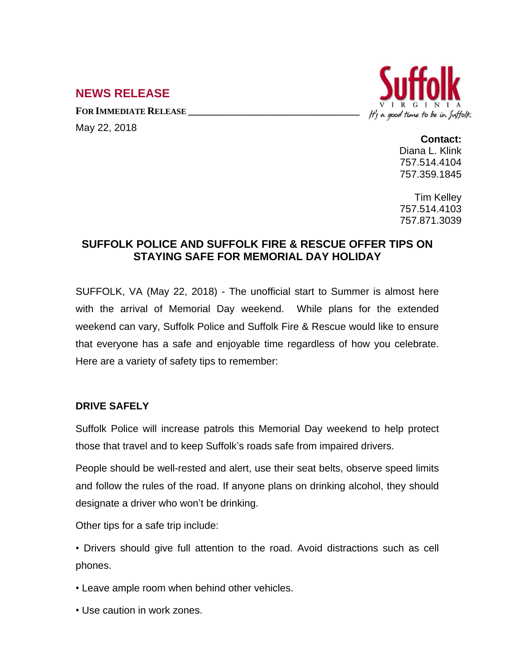# **NEWS RELEASE**

**FOR IMMEDIATE RELEASE \_\_\_\_\_\_\_\_\_\_\_\_\_\_\_\_\_\_\_\_\_\_\_\_\_\_\_\_\_\_\_\_\_\_**

May 22, 2018



#### **Contact:**

Diana L. Klink 757.514.4104 757.359.1845

Tim Kelley 757.514.4103 757.871.3039

## **SUFFOLK POLICE AND SUFFOLK FIRE & RESCUE OFFER TIPS ON STAYING SAFE FOR MEMORIAL DAY HOLIDAY**

SUFFOLK, VA (May 22, 2018) - The unofficial start to Summer is almost here with the arrival of Memorial Day weekend. While plans for the extended weekend can vary, Suffolk Police and Suffolk Fire & Rescue would like to ensure that everyone has a safe and enjoyable time regardless of how you celebrate. Here are a variety of safety tips to remember:

## **DRIVE SAFELY**

Suffolk Police will increase patrols this Memorial Day weekend to help protect those that travel and to keep Suffolk's roads safe from impaired drivers.

People should be well-rested and alert, use their seat belts, observe speed limits and follow the rules of the road. If anyone plans on drinking alcohol, they should designate a driver who won't be drinking.

Other tips for a safe trip include:

• Drivers should give full attention to the road. Avoid distractions such as cell phones.

• Leave ample room when behind other vehicles.

• Use caution in work zones.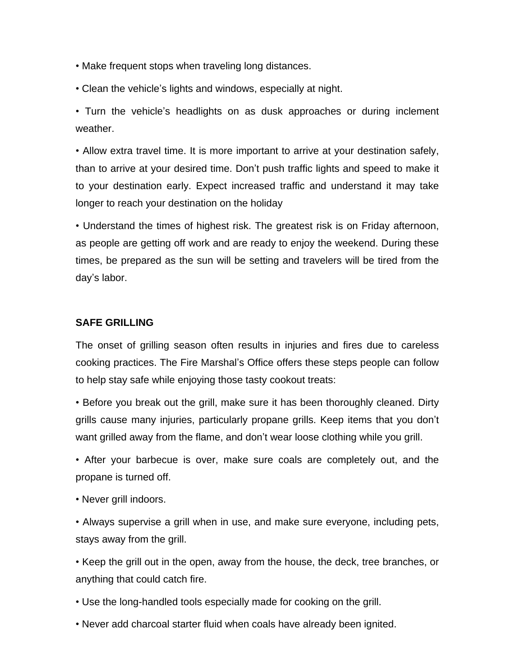- Make frequent stops when traveling long distances.
- Clean the vehicle's lights and windows, especially at night.

• Turn the vehicle's headlights on as dusk approaches or during inclement weather.

• Allow extra travel time. It is more important to arrive at your destination safely, than to arrive at your desired time. Don't push traffic lights and speed to make it to your destination early. Expect increased traffic and understand it may take longer to reach your destination on the holiday

• Understand the times of highest risk. The greatest risk is on Friday afternoon, as people are getting off work and are ready to enjoy the weekend. During these times, be prepared as the sun will be setting and travelers will be tired from the day's labor.

### **SAFE GRILLING**

The onset of grilling season often results in injuries and fires due to careless cooking practices. The Fire Marshal's Office offers these steps people can follow to help stay safe while enjoying those tasty cookout treats:

• Before you break out the grill, make sure it has been thoroughly cleaned. Dirty grills cause many injuries, particularly propane grills. Keep items that you don't want grilled away from the flame, and don't wear loose clothing while you grill.

• After your barbecue is over, make sure coals are completely out, and the propane is turned off.

• Never grill indoors.

• Always supervise a grill when in use, and make sure everyone, including pets, stays away from the grill.

• Keep the grill out in the open, away from the house, the deck, tree branches, or anything that could catch fire.

• Use the long-handled tools especially made for cooking on the grill.

• Never add charcoal starter fluid when coals have already been ignited.